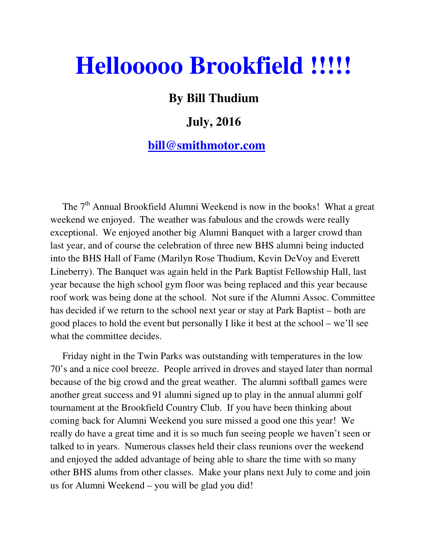# **Hellooooo Brookfield !!!!!**

## **By Bill Thudium**

# **July, 2016**

### **bill@smithmotor.com**

The  $7<sup>th</sup>$  Annual Brookfield Alumni Weekend is now in the books! What a great weekend we enjoyed. The weather was fabulous and the crowds were really exceptional. We enjoyed another big Alumni Banquet with a larger crowd than last year, and of course the celebration of three new BHS alumni being inducted into the BHS Hall of Fame (Marilyn Rose Thudium, Kevin DeVoy and Everett Lineberry). The Banquet was again held in the Park Baptist Fellowship Hall, last year because the high school gym floor was being replaced and this year because roof work was being done at the school. Not sure if the Alumni Assoc. Committee has decided if we return to the school next year or stay at Park Baptist – both are good places to hold the event but personally I like it best at the school – we'll see what the committee decides.

 Friday night in the Twin Parks was outstanding with temperatures in the low 70's and a nice cool breeze. People arrived in droves and stayed later than normal because of the big crowd and the great weather. The alumni softball games were another great success and 91 alumni signed up to play in the annual alumni golf tournament at the Brookfield Country Club. If you have been thinking about coming back for Alumni Weekend you sure missed a good one this year! We really do have a great time and it is so much fun seeing people we haven't seen or talked to in years. Numerous classes held their class reunions over the weekend and enjoyed the added advantage of being able to share the time with so many other BHS alums from other classes. Make your plans next July to come and join us for Alumni Weekend – you will be glad you did!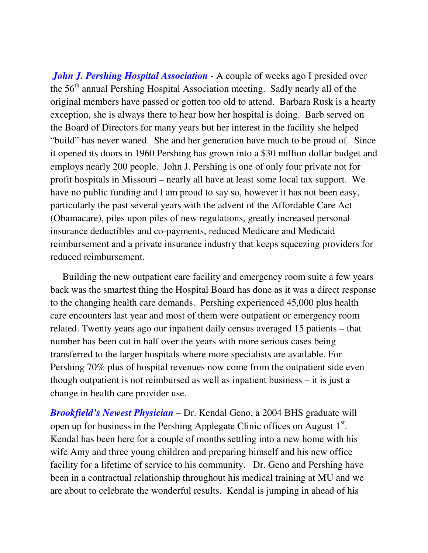*John J. Pershing Hospital Association* - A couple of weeks ago I presided over the  $56<sup>th</sup>$  annual Pershing Hospital Association meeting. Sadly nearly all of the original members have passed or gotten too old to attend. Barbara Rusk is a hearty exception, she is always there to hear how her hospital is doing. Barb served on the Board of Directors for many years but her interest in the facility she helped "build" has never waned. She and her generation have much to be proud of. Since it opened its doors in 1960 Pershing has grown into a \$30 million dollar budget and employs nearly 200 people. John J. Pershing is one of only four private not for profit hospitals in Missouri – nearly all have at least some local tax support. We have no public funding and I am proud to say so, however it has not been easy, particularly the past several years with the advent of the Affordable Care Act (Obamacare), piles upon piles of new regulations, greatly increased personal insurance deductibles and co-payments, reduced Medicare and Medicaid reimbursement and a private insurance industry that keeps squeezing providers for reduced reimbursement.

 Building the new outpatient care facility and emergency room suite a few years back was the smartest thing the Hospital Board has done as it was a direct response to the changing health care demands. Pershing experienced 45,000 plus health care encounters last year and most of them were outpatient or emergency room related. Twenty years ago our inpatient daily census averaged 15 patients – that number has been cut in half over the years with more serious cases being transferred to the larger hospitals where more specialists are available. For Pershing 70% plus of hospital revenues now come from the outpatient side even though outpatient is not reimbursed as well as inpatient business – it is just a change in health care provider use.

*Brookfield's Newest Physician* – Dr. Kendal Geno, a 2004 BHS graduate will open up for business in the Pershing Applegate Clinic offices on August  $1<sup>st</sup>$ . Kendal has been here for a couple of months settling into a new home with his wife Amy and three young children and preparing himself and his new office facility for a lifetime of service to his community. Dr. Geno and Pershing have been in a contractual relationship throughout his medical training at MU and we are about to celebrate the wonderful results. Kendal is jumping in ahead of his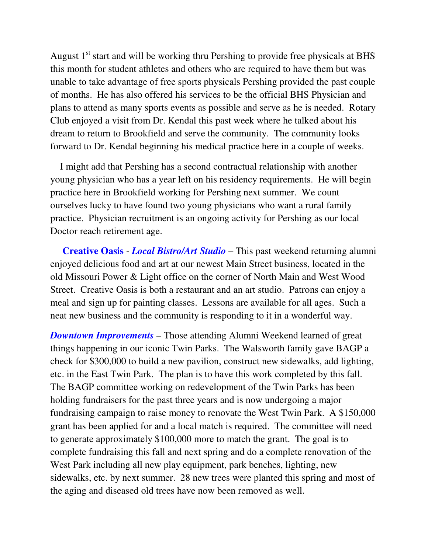August  $1<sup>st</sup>$  start and will be working thru Pershing to provide free physicals at BHS this month for student athletes and others who are required to have them but was unable to take advantage of free sports physicals Pershing provided the past couple of months. He has also offered his services to be the official BHS Physician and plans to attend as many sports events as possible and serve as he is needed. Rotary Club enjoyed a visit from Dr. Kendal this past week where he talked about his dream to return to Brookfield and serve the community. The community looks forward to Dr. Kendal beginning his medical practice here in a couple of weeks.

 I might add that Pershing has a second contractual relationship with another young physician who has a year left on his residency requirements. He will begin practice here in Brookfield working for Pershing next summer. We count ourselves lucky to have found two young physicians who want a rural family practice. Physician recruitment is an ongoing activity for Pershing as our local Doctor reach retirement age.

 **Creative Oasis** - *Local Bistro/Art Studio* – This past weekend returning alumni enjoyed delicious food and art at our newest Main Street business, located in the old Missouri Power & Light office on the corner of North Main and West Wood Street. Creative Oasis is both a restaurant and an art studio. Patrons can enjoy a meal and sign up for painting classes. Lessons are available for all ages. Such a neat new business and the community is responding to it in a wonderful way.

*Downtown Improvements* – Those attending Alumni Weekend learned of great things happening in our iconic Twin Parks. The Walsworth family gave BAGP a check for \$300,000 to build a new pavilion, construct new sidewalks, add lighting, etc. in the East Twin Park. The plan is to have this work completed by this fall. The BAGP committee working on redevelopment of the Twin Parks has been holding fundraisers for the past three years and is now undergoing a major fundraising campaign to raise money to renovate the West Twin Park. A \$150,000 grant has been applied for and a local match is required. The committee will need to generate approximately \$100,000 more to match the grant. The goal is to complete fundraising this fall and next spring and do a complete renovation of the West Park including all new play equipment, park benches, lighting, new sidewalks, etc. by next summer. 28 new trees were planted this spring and most of the aging and diseased old trees have now been removed as well.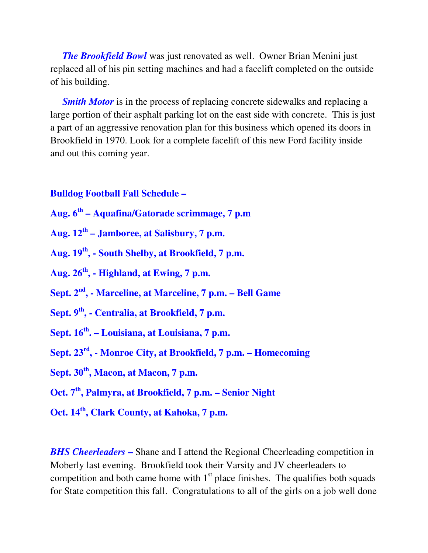*The Brookfield Bowl* was just renovated as well. Owner Brian Menini just replaced all of his pin setting machines and had a facelift completed on the outside of his building.

*Smith Motor* is in the process of replacing concrete sidewalks and replacing a large portion of their asphalt parking lot on the east side with concrete. This is just a part of an aggressive renovation plan for this business which opened its doors in Brookfield in 1970. Look for a complete facelift of this new Ford facility inside and out this coming year.

#### **Bulldog Football Fall Schedule –**

- **Aug. 6th Aquafina/Gatorade scrimmage, 7 p.m**
- **Aug. 12th Jamboree, at Salisbury, 7 p.m.**
- **Aug. 19th, South Shelby, at Brookfield, 7 p.m.**
- **Aug. 26th, Highland, at Ewing, 7 p.m.**
- **Sept. 2nd, Marceline, at Marceline, 7 p.m. Bell Game**
- **Sept. 9th, Centralia, at Brookfield, 7 p.m.**
- **Sept. 16th. Louisiana, at Louisiana, 7 p.m.**
- **Sept. 23rd, Monroe City, at Brookfield, 7 p.m. Homecoming**
- **Sept. 30th, Macon, at Macon, 7 p.m.**
- **Oct. 7th, Palmyra, at Brookfield, 7 p.m. Senior Night**
- **Oct. 14th, Clark County, at Kahoka, 7 p.m.**

*BHS Cheerleaders* – Shane and I attend the Regional Cheerleading competition in Moberly last evening. Brookfield took their Varsity and JV cheerleaders to competition and both came home with  $1<sup>st</sup>$  place finishes. The qualifies both squads for State competition this fall. Congratulations to all of the girls on a job well done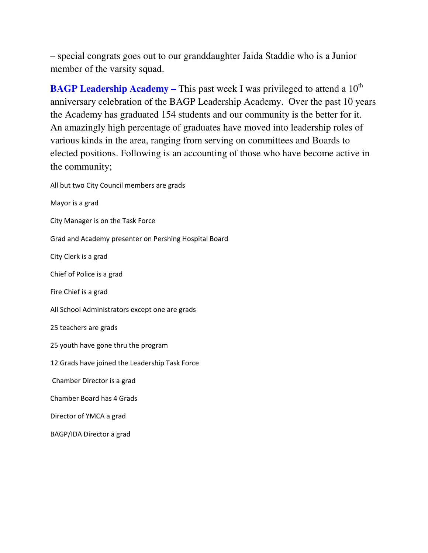– special congrats goes out to our granddaughter Jaida Staddie who is a Junior member of the varsity squad.

**BAGP Leadership Academy – This past week I was privileged to attend a 10<sup>th</sup>** anniversary celebration of the BAGP Leadership Academy. Over the past 10 years the Academy has graduated 154 students and our community is the better for it. An amazingly high percentage of graduates have moved into leadership roles of various kinds in the area, ranging from serving on committees and Boards to elected positions. Following is an accounting of those who have become active in the community;

All but two City Council members are grads Mayor is a grad City Manager is on the Task Force

Grad and Academy presenter on Pershing Hospital Board

City Clerk is a grad

Chief of Police is a grad

Fire Chief is a grad

All School Administrators except one are grads

25 teachers are grads

25 youth have gone thru the program

12 Grads have joined the Leadership Task Force

Chamber Director is a grad

Chamber Board has 4 Grads

Director of YMCA a grad

BAGP/IDA Director a grad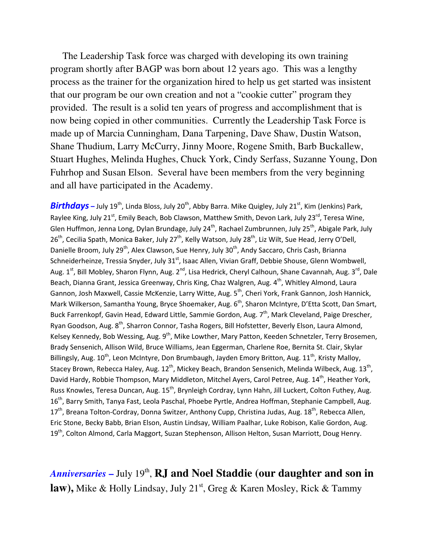The Leadership Task force was charged with developing its own training program shortly after BAGP was born about 12 years ago. This was a lengthy process as the trainer for the organization hired to help us get started was insistent that our program be our own creation and not a "cookie cutter" program they provided. The result is a solid ten years of progress and accomplishment that is now being copied in other communities. Currently the Leadership Task Force is made up of Marcia Cunningham, Dana Tarpening, Dave Shaw, Dustin Watson, Shane Thudium, Larry McCurry, Jinny Moore, Rogene Smith, Barb Buckallew, Stuart Hughes, Melinda Hughes, Chuck York, Cindy Serfass, Suzanne Young, Don Fuhrhop and Susan Elson. Several have been members from the very beginning and all have participated in the Academy.

**Birthdays** – July 19<sup>th</sup>, Linda Bloss, July 20<sup>th</sup>, Abby Barra. Mike Quigley, July 21<sup>st</sup>, Kim (Jenkins) Park, Raylee King, July 21<sup>st</sup>, Emily Beach, Bob Clawson, Matthew Smith, Devon Lark, July 23<sup>rd</sup>, Teresa Wine, Glen Huffmon, Jenna Long, Dylan Brundage, July 24<sup>th</sup>, Rachael Zumbrunnen, July 25<sup>th</sup>, Abigale Park, July 26<sup>th</sup>, Cecilia Spath, Monica Baker, July 27<sup>th</sup>, Kelly Watson, July 28<sup>th</sup>, Liz Wilt, Sue Head, Jerry O'Dell, Danielle Broom, July 29<sup>th</sup>, Alex Clawson, Sue Henry, July 30<sup>th</sup>, Andy Saccaro, Chris Cash, Brianna Schneiderheinze, Tressia Snyder, July 31<sup>st</sup>, Isaac Allen, Vivian Graff, Debbie Shouse, Glenn Wombwell, Aug. 1<sup>st</sup>, Bill Mobley, Sharon Flynn, Aug. 2<sup>nd</sup>, Lisa Hedrick, Cheryl Calhoun, Shane Cavannah, Aug. 3<sup>rd</sup>, Dale Beach, Dianna Grant, Jessica Greenway, Chris King, Chaz Walgren, Aug. 4<sup>th</sup>, Whitley Almond, Laura Gannon, Josh Maxwell, Cassie McKenzie, Larry Witte, Aug. 5<sup>th</sup>, Cheri York, Frank Gannon, Josh Hannick, Mark Wilkerson, Samantha Young, Bryce Shoemaker, Aug. 6<sup>th</sup>, Sharon McIntyre, D'Etta Scott, Dan Smart, Buck Farrenkopf, Gavin Head, Edward Little, Sammie Gordon, Aug. 7<sup>th</sup>, Mark Cleveland, Paige Drescher, Ryan Goodson, Aug. 8<sup>th</sup>, Sharron Connor, Tasha Rogers, Bill Hofstetter, Beverly Elson, Laura Almond, Kelsey Kennedy, Bob Wessing, Aug. 9<sup>th</sup>, Mike Lowther, Mary Patton, Keeden Schnetzler, Terry Brosemen, Brady Sensenich, Allison Wild, Bruce Williams, Jean Eggerman, Charlene Roe, Bernita St. Clair, Skylar Billingsly, Aug. 10<sup>th</sup>, Leon McIntyre, Don Brumbaugh, Jayden Emory Britton, Aug. 11<sup>th</sup>, Kristy Malloy, Stacey Brown, Rebecca Haley, Aug. 12<sup>th</sup>, Mickey Beach, Brandon Sensenich, Melinda Wilbeck, Aug. 13<sup>th</sup>, David Hardy, Robbie Thompson, Mary Middleton, Mitchel Ayers, Carol Petree, Aug. 14<sup>th</sup>, Heather York, Russ Knowles, Teresa Duncan, Aug. 15<sup>th</sup>, Brynleigh Cordray, Lynn Hahn, Jill Luckert, Colton Futhey, Aug. 16<sup>th</sup>, Barry Smith, Tanya Fast, Leola Paschal, Phoebe Pyrtle, Andrea Hoffman, Stephanie Campbell, Aug.  $17<sup>th</sup>$ , Breana Tolton-Cordray, Donna Switzer, Anthony Cupp, Christina Judas, Aug.  $18<sup>th</sup>$ , Rebecca Allen, Eric Stone, Becky Babb, Brian Elson, Austin Lindsay, William Paalhar, Luke Robison, Kalie Gordon, Aug. 19<sup>th</sup>, Colton Almond, Carla Maggort, Suzan Stephenson, Allison Helton, Susan Marriott, Doug Henry.

Anniversaries – July 19<sup>th</sup>, **RJ and Noel Staddie (our daughter and son in law),** Mike & Holly Lindsay, July 21<sup>st</sup>, Greg & Karen Mosley, Rick & Tammy